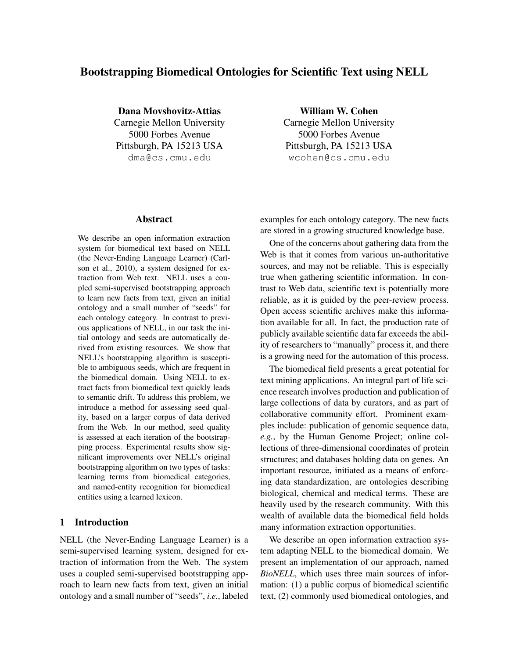# Bootstrapping Biomedical Ontologies for Scientific Text using NELL

Dana Movshovitz-Attias Carnegie Mellon University 5000 Forbes Avenue Pittsburgh, PA 15213 USA dma@cs.cmu.edu

## Abstract

We describe an open information extraction system for biomedical text based on NELL (the Never-Ending Language Learner) (Carlson et al., 2010), a system designed for extraction from Web text. NELL uses a coupled semi-supervised bootstrapping approach to learn new facts from text, given an initial ontology and a small number of "seeds" for each ontology category. In contrast to previous applications of NELL, in our task the initial ontology and seeds are automatically derived from existing resources. We show that NELL's bootstrapping algorithm is susceptible to ambiguous seeds, which are frequent in the biomedical domain. Using NELL to extract facts from biomedical text quickly leads to semantic drift. To address this problem, we introduce a method for assessing seed quality, based on a larger corpus of data derived from the Web. In our method, seed quality is assessed at each iteration of the bootstrapping process. Experimental results show significant improvements over NELL's original bootstrapping algorithm on two types of tasks: learning terms from biomedical categories, and named-entity recognition for biomedical entities using a learned lexicon.

## 1 Introduction

NELL (the Never-Ending Language Learner) is a semi-supervised learning system, designed for extraction of information from the Web. The system uses a coupled semi-supervised bootstrapping approach to learn new facts from text, given an initial ontology and a small number of "seeds", *i.e.*, labeled

William W. Cohen Carnegie Mellon University 5000 Forbes Avenue Pittsburgh, PA 15213 USA wcohen@cs.cmu.edu

examples for each ontology category. The new facts are stored in a growing structured knowledge base.

One of the concerns about gathering data from the Web is that it comes from various un-authoritative sources, and may not be reliable. This is especially true when gathering scientific information. In contrast to Web data, scientific text is potentially more reliable, as it is guided by the peer-review process. Open access scientific archives make this information available for all. In fact, the production rate of publicly available scientific data far exceeds the ability of researchers to "manually" process it, and there is a growing need for the automation of this process.

The biomedical field presents a great potential for text mining applications. An integral part of life science research involves production and publication of large collections of data by curators, and as part of collaborative community effort. Prominent examples include: publication of genomic sequence data, *e.g.*, by the Human Genome Project; online collections of three-dimensional coordinates of protein structures; and databases holding data on genes. An important resource, initiated as a means of enforcing data standardization, are ontologies describing biological, chemical and medical terms. These are heavily used by the research community. With this wealth of available data the biomedical field holds many information extraction opportunities.

We describe an open information extraction system adapting NELL to the biomedical domain. We present an implementation of our approach, named *BioNELL*, which uses three main sources of information: (1) a public corpus of biomedical scientific text, (2) commonly used biomedical ontologies, and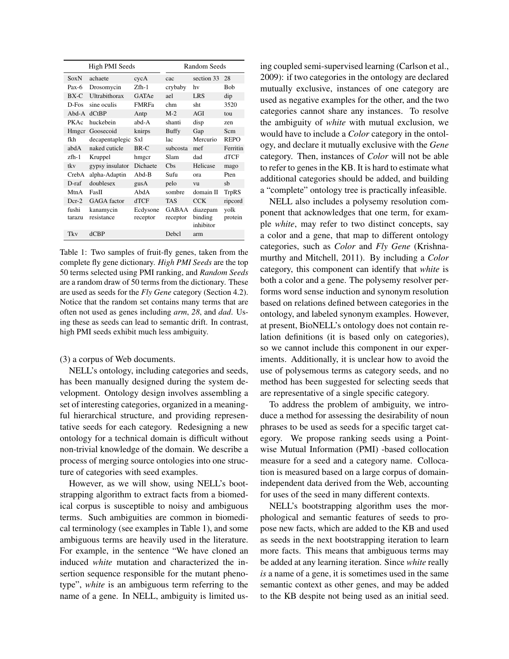| High PMI Seeds  |                         |                      | <b>Random Seeds</b>      |                                  |                 |  |
|-----------------|-------------------------|----------------------|--------------------------|----------------------------------|-----------------|--|
| SoxN            | achaete                 | cycA                 | cac                      | section 33                       | 28              |  |
| $Pax-6$         | Drosomycin              | $Zfh-1$              | crybaby                  | hv                               | Bob             |  |
| $BX-C$          | Ultrabithorax           | GATAe                | ael                      | <b>LRS</b>                       | dip             |  |
| $D$ -Fos        | sine oculis             | <b>FMRFa</b>         | chm                      | sht                              | 3520            |  |
| Abd-A           | dCtBP                   | Antp                 | $M-2$                    | AGI                              | tou             |  |
| PKAc            | huckebein               | abd-A                | shanti                   | disp                             | zen             |  |
| Hmgcr           | Goosecoid               | knirps               | <b>Buffy</b>             | Gap                              | Scm             |  |
| fkh             | decapentaplegic         | Sxl                  | lac                      | Mercurio                         | <b>REPO</b>     |  |
| abdA            | naked cuticle           | BR-C                 | subcosta                 | mef                              | Ferritin        |  |
| $z$ fh- $1$     | Kruppel                 | hmgcr                | Slam                     | dad                              | dTCF            |  |
| tky             | gypsy insulator         | Dichaete             | C <sub>bs</sub>          | Helicase                         | mago            |  |
| CrebA           | alpha-Adaptin           | $Abd-B$              | Sufu                     | ora                              | Pten            |  |
| $D-raf$         | doublesex               | gusA                 | pelo                     | vu                               | sb              |  |
| MtnA            | FasH                    | AbdA                 | sombre                   | domain II                        | TrpRS           |  |
| $Dcr-2$         | GAGA factor             | dTCF                 | <b>TAS</b>               | <b>CCK</b>                       | ripcord         |  |
| fushi<br>tarazu | kanamycin<br>resistance | Ecdysone<br>receptor | <b>GABAA</b><br>receptor | diazepam<br>binding<br>inhibitor | yolk<br>protein |  |
| Tky             | $d$ CBP                 |                      | Debcl                    | arm                              |                 |  |

Table 1: Two samples of fruit-fly genes, taken from the complete fly gene dictionary. *High PMI Seeds* are the top 50 terms selected using PMI ranking, and *Random Seeds* are a random draw of 50 terms from the dictionary. These are used as seeds for the *Fly Gene* category (Section 4.2). Notice that the random set contains many terms that are often not used as genes including *arm*, *28*, and *dad*. Using these as seeds can lead to semantic drift. In contrast, high PMI seeds exhibit much less ambiguity.

(3) a corpus of Web documents.

NELL's ontology, including categories and seeds, has been manually designed during the system development. Ontology design involves assembling a set of interesting categories, organized in a meaningful hierarchical structure, and providing representative seeds for each category. Redesigning a new ontology for a technical domain is difficult without non-trivial knowledge of the domain. We describe a process of merging source ontologies into one structure of categories with seed examples.

However, as we will show, using NELL's bootstrapping algorithm to extract facts from a biomedical corpus is susceptible to noisy and ambiguous terms. Such ambiguities are common in biomedical terminology (see examples in Table 1), and some ambiguous terms are heavily used in the literature. For example, in the sentence "We have cloned an induced *white* mutation and characterized the insertion sequence responsible for the mutant phenotype", *white* is an ambiguous term referring to the name of a gene. In NELL, ambiguity is limited using coupled semi-supervised learning (Carlson et al., 2009): if two categories in the ontology are declared mutually exclusive, instances of one category are used as negative examples for the other, and the two categories cannot share any instances. To resolve the ambiguity of *white* with mutual exclusion, we would have to include a *Color* category in the ontology, and declare it mutually exclusive with the *Gene* category. Then, instances of *Color* will not be able to refer to genes in the KB. It is hard to estimate what additional categories should be added, and building a "complete" ontology tree is practically infeasible.

NELL also includes a polysemy resolution component that acknowledges that one term, for example *white*, may refer to two distinct concepts, say a color and a gene, that map to different ontology categories, such as *Color* and *Fly Gene* (Krishnamurthy and Mitchell, 2011). By including a *Color* category, this component can identify that *white* is both a color and a gene. The polysemy resolver performs word sense induction and synonym resolution based on relations defined between categories in the ontology, and labeled synonym examples. However, at present, BioNELL's ontology does not contain relation definitions (it is based only on categories), so we cannot include this component in our experiments. Additionally, it is unclear how to avoid the use of polysemous terms as category seeds, and no method has been suggested for selecting seeds that are representative of a single specific category.

To address the problem of ambiguity, we introduce a method for assessing the desirability of noun phrases to be used as seeds for a specific target category. We propose ranking seeds using a Pointwise Mutual Information (PMI) -based collocation measure for a seed and a category name. Collocation is measured based on a large corpus of domainindependent data derived from the Web, accounting for uses of the seed in many different contexts.

NELL's bootstrapping algorithm uses the morphological and semantic features of seeds to propose new facts, which are added to the KB and used as seeds in the next bootstrapping iteration to learn more facts. This means that ambiguous terms may be added at any learning iteration. Since *white* really *is* a name of a gene, it is sometimes used in the same semantic context as other genes, and may be added to the KB despite not being used as an initial seed.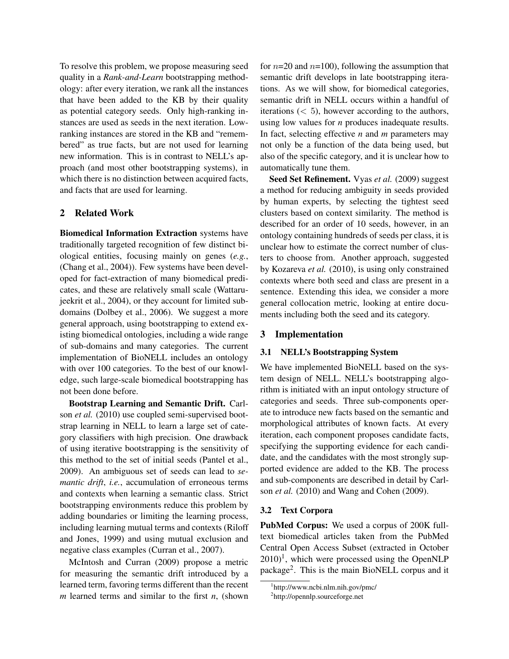To resolve this problem, we propose measuring seed quality in a *Rank-and-Learn* bootstrapping methodology: after every iteration, we rank all the instances that have been added to the KB by their quality as potential category seeds. Only high-ranking instances are used as seeds in the next iteration. Lowranking instances are stored in the KB and "remembered" as true facts, but are not used for learning new information. This is in contrast to NELL's approach (and most other bootstrapping systems), in which there is no distinction between acquired facts, and facts that are used for learning.

## 2 Related Work

Biomedical Information Extraction systems have traditionally targeted recognition of few distinct biological entities, focusing mainly on genes (*e.g.*, (Chang et al., 2004)). Few systems have been developed for fact-extraction of many biomedical predicates, and these are relatively small scale (Wattarujeekrit et al., 2004), or they account for limited subdomains (Dolbey et al., 2006). We suggest a more general approach, using bootstrapping to extend existing biomedical ontologies, including a wide range of sub-domains and many categories. The current implementation of BioNELL includes an ontology with over 100 categories. To the best of our knowledge, such large-scale biomedical bootstrapping has not been done before.

Bootstrap Learning and Semantic Drift. Carlson *et al.* (2010) use coupled semi-supervised bootstrap learning in NELL to learn a large set of category classifiers with high precision. One drawback of using iterative bootstrapping is the sensitivity of this method to the set of initial seeds (Pantel et al., 2009). An ambiguous set of seeds can lead to *semantic drift*, *i.e.*, accumulation of erroneous terms and contexts when learning a semantic class. Strict bootstrapping environments reduce this problem by adding boundaries or limiting the learning process, including learning mutual terms and contexts (Riloff and Jones, 1999) and using mutual exclusion and negative class examples (Curran et al., 2007).

McIntosh and Curran (2009) propose a metric for measuring the semantic drift introduced by a learned term, favoring terms different than the recent *m* learned terms and similar to the first *n*, (shown for  $n=20$  and  $n=100$ ), following the assumption that semantic drift develops in late bootstrapping iterations. As we will show, for biomedical categories, semantic drift in NELL occurs within a handful of iterations  $( $5$ ), however according to the authors,$ using low values for *n* produces inadequate results. In fact, selecting effective *n* and *m* parameters may not only be a function of the data being used, but also of the specific category, and it is unclear how to automatically tune them.

Seed Set Refinement. Vyas *et al.* (2009) suggest a method for reducing ambiguity in seeds provided by human experts, by selecting the tightest seed clusters based on context similarity. The method is described for an order of 10 seeds, however, in an ontology containing hundreds of seeds per class, it is unclear how to estimate the correct number of clusters to choose from. Another approach, suggested by Kozareva *et al.* (2010), is using only constrained contexts where both seed and class are present in a sentence. Extending this idea, we consider a more general collocation metric, looking at entire documents including both the seed and its category.

## 3 Implementation

### 3.1 NELL's Bootstrapping System

We have implemented BioNELL based on the system design of NELL. NELL's bootstrapping algorithm is initiated with an input ontology structure of categories and seeds. Three sub-components operate to introduce new facts based on the semantic and morphological attributes of known facts. At every iteration, each component proposes candidate facts, specifying the supporting evidence for each candidate, and the candidates with the most strongly supported evidence are added to the KB. The process and sub-components are described in detail by Carlson *et al.* (2010) and Wang and Cohen (2009).

#### 3.2 Text Corpora

PubMed Corpus: We used a corpus of 200K fulltext biomedical articles taken from the PubMed Central Open Access Subset (extracted in October  $2010$ <sup>1</sup>, which were processed using the OpenNLP package<sup>2</sup>. This is the main BioNELL corpus and it

<sup>1</sup> http://www.ncbi.nlm.nih.gov/pmc/

<sup>2</sup> http://opennlp.sourceforge.net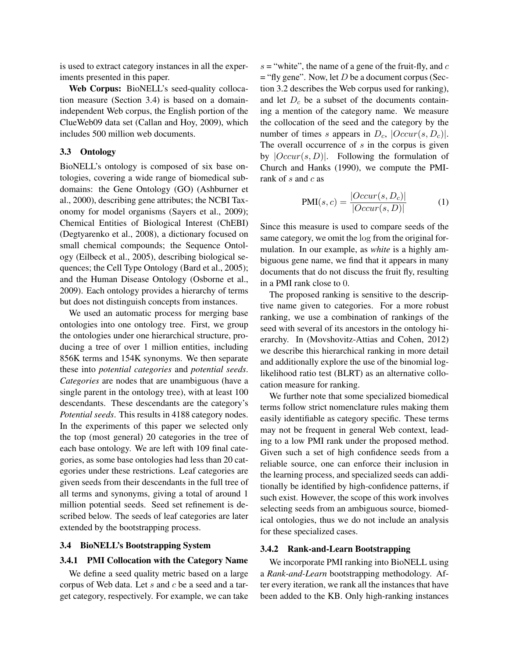is used to extract category instances in all the experiments presented in this paper.

Web Corpus: BioNELL's seed-quality collocation measure (Section 3.4) is based on a domainindependent Web corpus, the English portion of the ClueWeb09 data set (Callan and Hoy, 2009), which includes 500 million web documents.

#### 3.3 Ontology

BioNELL's ontology is composed of six base ontologies, covering a wide range of biomedical subdomains: the Gene Ontology (GO) (Ashburner et al., 2000), describing gene attributes; the NCBI Taxonomy for model organisms (Sayers et al., 2009); Chemical Entities of Biological Interest (ChEBI) (Degtyarenko et al., 2008), a dictionary focused on small chemical compounds; the Sequence Ontology (Eilbeck et al., 2005), describing biological sequences; the Cell Type Ontology (Bard et al., 2005); and the Human Disease Ontology (Osborne et al., 2009). Each ontology provides a hierarchy of terms but does not distinguish concepts from instances.

We used an automatic process for merging base ontologies into one ontology tree. First, we group the ontologies under one hierarchical structure, producing a tree of over 1 million entities, including 856K terms and 154K synonyms. We then separate these into *potential categories* and *potential seeds*. *Categories* are nodes that are unambiguous (have a single parent in the ontology tree), with at least 100 descendants. These descendants are the category's *Potential seeds*. This results in 4188 category nodes. In the experiments of this paper we selected only the top (most general) 20 categories in the tree of each base ontology. We are left with 109 final categories, as some base ontologies had less than 20 categories under these restrictions. Leaf categories are given seeds from their descendants in the full tree of all terms and synonyms, giving a total of around 1 million potential seeds. Seed set refinement is described below. The seeds of leaf categories are later extended by the bootstrapping process.

#### 3.4 BioNELL's Bootstrapping System

#### 3.4.1 PMI Collocation with the Category Name

We define a seed quality metric based on a large corpus of Web data. Let  $s$  and  $c$  be a seed and a target category, respectively. For example, we can take  $s =$  "white", the name of a gene of the fruit-fly, and  $c$  $=$  "fly gene". Now, let *D* be a document corpus (Section 3.2 describes the Web corpus used for ranking), and let  $D_c$  be a subset of the documents containing a mention of the category name. We measure the collocation of the seed and the category by the number of times s appears in  $D_c$ ,  $|Occur(s, D_c)|$ . The overall occurrence of  $s$  in the corpus is given by  $|Occur(s, D)|$ . Following the formulation of Church and Hanks (1990), we compute the PMIrank of s and  $c$  as

$$
PMI(s, c) = \frac{|Occur(s, D_c)|}{|Occur(s, D)|}
$$
 (1)

Since this measure is used to compare seeds of the same category, we omit the log from the original formulation. In our example, as *white* is a highly ambiguous gene name, we find that it appears in many documents that do not discuss the fruit fly, resulting in a PMI rank close to 0.

The proposed ranking is sensitive to the descriptive name given to categories. For a more robust ranking, we use a combination of rankings of the seed with several of its ancestors in the ontology hierarchy. In (Movshovitz-Attias and Cohen, 2012) we describe this hierarchical ranking in more detail and additionally explore the use of the binomial loglikelihood ratio test (BLRT) as an alternative collocation measure for ranking.

We further note that some specialized biomedical terms follow strict nomenclature rules making them easily identifiable as category specific. These terms may not be frequent in general Web context, leading to a low PMI rank under the proposed method. Given such a set of high confidence seeds from a reliable source, one can enforce their inclusion in the learning process, and specialized seeds can additionally be identified by high-confidence patterns, if such exist. However, the scope of this work involves selecting seeds from an ambiguous source, biomedical ontologies, thus we do not include an analysis for these specialized cases.

#### 3.4.2 Rank-and-Learn Bootstrapping

We incorporate PMI ranking into BioNELL using a *Rank-and-Learn* bootstrapping methodology. After every iteration, we rank all the instances that have been added to the KB. Only high-ranking instances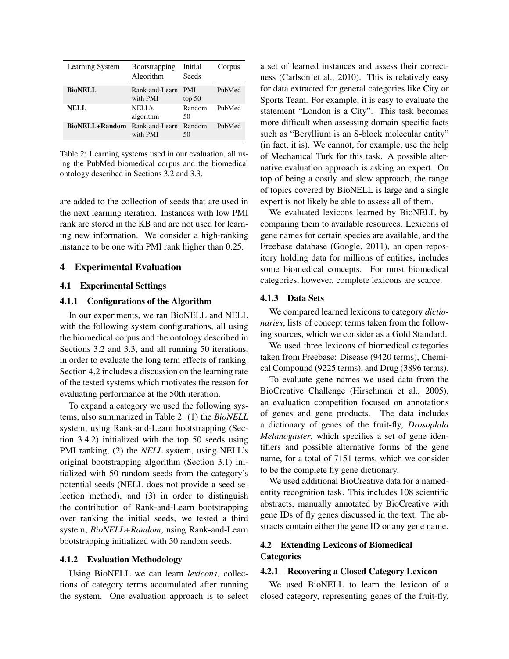| <b>Learning System</b> | <b>Bootstrapping</b><br>Algorithm | Initial<br>Seeds     | Corpus |
|------------------------|-----------------------------------|----------------------|--------|
| <b>BioNELL</b>         | Rank-and-Learn<br>with PMI        | <b>PMI</b><br>top 50 | PubMed |
| <b>NELL</b>            | NELL's<br>algorithm               | Random<br>50         | PubMed |
| BioNELL+Random         | Rank-and-Learn<br>with PMI        | Random<br>50         | PubMed |

Table 2: Learning systems used in our evaluation, all using the PubMed biomedical corpus and the biomedical ontology described in Sections 3.2 and 3.3.

are added to the collection of seeds that are used in the next learning iteration. Instances with low PMI rank are stored in the KB and are not used for learning new information. We consider a high-ranking instance to be one with PMI rank higher than 0.25.

## 4 Experimental Evaluation

## 4.1 Experimental Settings

#### 4.1.1 Configurations of the Algorithm

In our experiments, we ran BioNELL and NELL with the following system configurations, all using the biomedical corpus and the ontology described in Sections 3.2 and 3.3, and all running 50 iterations, in order to evaluate the long term effects of ranking. Section 4.2 includes a discussion on the learning rate of the tested systems which motivates the reason for evaluating performance at the 50th iteration.

To expand a category we used the following systems, also summarized in Table 2: (1) the *BioNELL* system, using Rank-and-Learn bootstrapping (Section 3.4.2) initialized with the top 50 seeds using PMI ranking, (2) the *NELL* system, using NELL's original bootstrapping algorithm (Section 3.1) initialized with 50 random seeds from the category's potential seeds (NELL does not provide a seed selection method), and (3) in order to distinguish the contribution of Rank-and-Learn bootstrapping over ranking the initial seeds, we tested a third system, *BioNELL+Random*, using Rank-and-Learn bootstrapping initialized with 50 random seeds.

#### 4.1.2 Evaluation Methodology

Using BioNELL we can learn *lexicons*, collections of category terms accumulated after running the system. One evaluation approach is to select a set of learned instances and assess their correctness (Carlson et al., 2010). This is relatively easy for data extracted for general categories like City or Sports Team. For example, it is easy to evaluate the statement "London is a City". This task becomes more difficult when assessing domain-specific facts such as "Beryllium is an S-block molecular entity" (in fact, it is). We cannot, for example, use the help of Mechanical Turk for this task. A possible alternative evaluation approach is asking an expert. On top of being a costly and slow approach, the range of topics covered by BioNELL is large and a single expert is not likely be able to assess all of them.

We evaluated lexicons learned by BioNELL by comparing them to available resources. Lexicons of gene names for certain species are available, and the Freebase database (Google, 2011), an open repository holding data for millions of entities, includes some biomedical concepts. For most biomedical categories, however, complete lexicons are scarce.

### 4.1.3 Data Sets

We compared learned lexicons to category *dictionaries*, lists of concept terms taken from the following sources, which we consider as a Gold Standard.

We used three lexicons of biomedical categories taken from Freebase: Disease (9420 terms), Chemical Compound (9225 terms), and Drug (3896 terms).

To evaluate gene names we used data from the BioCreative Challenge (Hirschman et al., 2005), an evaluation competition focused on annotations of genes and gene products. The data includes a dictionary of genes of the fruit-fly, *Drosophila Melanogaster*, which specifies a set of gene identifiers and possible alternative forms of the gene name, for a total of 7151 terms, which we consider to be the complete fly gene dictionary.

We used additional BioCreative data for a namedentity recognition task. This includes 108 scientific abstracts, manually annotated by BioCreative with gene IDs of fly genes discussed in the text. The abstracts contain either the gene ID or any gene name.

## 4.2 Extending Lexicons of Biomedical **Categories**

### 4.2.1 Recovering a Closed Category Lexicon

We used BioNELL to learn the lexicon of a closed category, representing genes of the fruit-fly,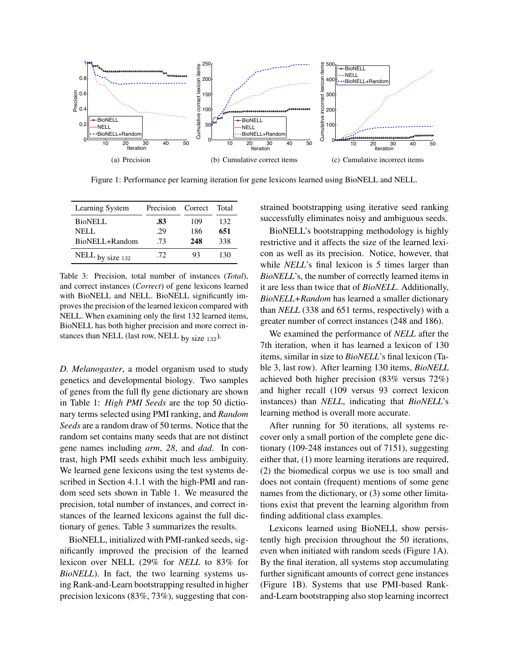

Figure 1: Performance per learning iteration for gene lexicons learned using BioNELL and NELL.

| Learning System    | Precision | Correct | Total |
|--------------------|-----------|---------|-------|
| <b>BioNELL</b>     | .83       | 109     | 132   |
| <b>NELL</b>        | .29       | 186     | 651   |
| BioNELL+Random     | .73       | 248     | 338   |
| NELL by size $132$ | .72       | 93      | 130   |

Table 3: Precision, total number of instances (*Total*), and correct instances (*Correct*) of gene lexicons learned with BioNELL and NELL. BioNELL significantly improves the precision of the learned lexicon compared with NELL. When examining only the first 132 learned items, BioNELL has both higher precision and more correct instances than NELL (last row, NELL  $_{\text{bv}}$  size 132).

*D. Melanogaster*, a model organism used to study genetics and developmental biology. Two samples of genes from the full fly gene dictionary are shown in Table 1: *High PMI Seeds* are the top 50 dictionary terms selected using PMI ranking, and *Random Seeds* are a random draw of 50 terms. Notice that the random set contains many seeds that are not distinct gene names including *arm*, *28*, and *dad*. In contrast, high PMI seeds exhibit much less ambiguity. We learned gene lexicons using the test systems described in Section 4.1.1 with the high-PMI and random seed sets shown in Table 1. We measured the precision, total number of instances, and correct instances of the learned lexicons against the full dictionary of genes. Table 3 summarizes the results.

BioNELL, initialized with PMI-ranked seeds, significantly improved the precision of the learned lexicon over NELL (29% for *NELL* to 83% for *BioNELL*). In fact, the two learning systems using Rank-and-Learn bootstrapping resulted in higher precision lexicons (83%, 73%), suggesting that constrained bootstrapping using iterative seed ranking successfully eliminates noisy and ambiguous seeds.

BioNELL's bootstrapping methodology is highly restrictive and it affects the size of the learned lexicon as well as its precision. Notice, however, that while *NELL*'s final lexicon is 5 times larger than *BioNELL*'s, the number of correctly learned items in it are less than twice that of *BioNELL*. Additionally, *BioNELL+Random* has learned a smaller dictionary than *NELL* (338 and 651 terms, respectively) with a greater number of correct instances (248 and 186).

We examined the performance of *NELL* after the 7th iteration, when it has learned a lexicon of 130 items, similar in size to *BioNELL*'s final lexicon (Table 3, last row). After learning 130 items, *BioNELL* achieved both higher precision (83% versus 72%) and higher recall (109 versus 93 correct lexicon instances) than *NELL*, indicating that *BioNELL*'s learning method is overall more accurate.

After running for 50 iterations, all systems recover only a small portion of the complete gene dictionary (109-248 instances out of 7151), suggesting either that, (1) more learning iterations are required, (2) the biomedical corpus we use is too small and does not contain (frequent) mentions of some gene names from the dictionary, or (3) some other limitations exist that prevent the learning algorithm from finding additional class examples.

Lexicons learned using BioNELL show persistently high precision throughout the 50 iterations, even when initiated with random seeds (Figure 1A). By the final iteration, all systems stop accumulating further significant amounts of correct gene instances (Figure 1B). Systems that use PMI-based Rankand-Learn bootstrapping also stop learning incorrect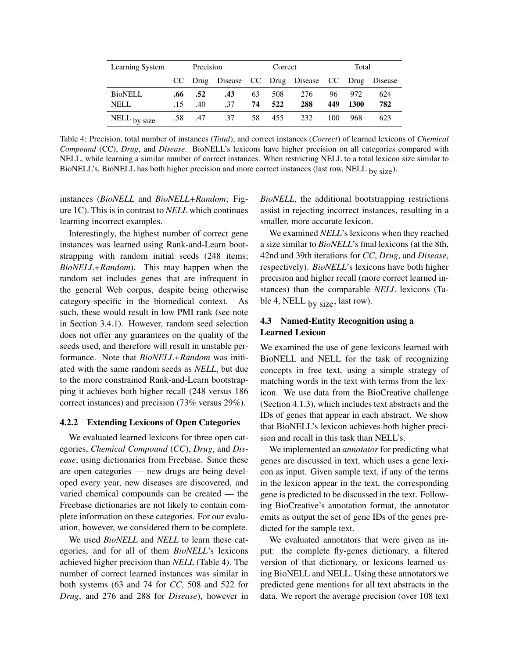| Learning System               | Precision  |            | Correct    |          | Total      |                                                 |            |             |            |
|-------------------------------|------------|------------|------------|----------|------------|-------------------------------------------------|------------|-------------|------------|
|                               |            |            |            |          |            | CC Drug Disease CC Drug Disease CC Drug Disease |            |             |            |
| <b>BioNELL</b><br><b>NELL</b> | .66<br>-15 | .52<br>.40 | .43<br>.37 | 63<br>74 | 508<br>522 | 276<br>288                                      | 96.<br>449 | 972<br>1300 | 624<br>782 |
| $NELL$ by size                |            | .58 .47    | .37        | 58       | 455        | 232                                             | 100        | 968         | 623        |

Table 4: Precision, total number of instances (*Total*), and correct instances (*Correct*) of learned lexicons of *Chemical Compound* (CC), *Drug*, and *Disease*. BioNELL's lexicons have higher precision on all categories compared with NELL, while learning a similar number of correct instances. When restricting NELL to a total lexicon size similar to BioNELL's, BioNELL has both higher precision and more correct instances (last row, NELL by size).

instances (*BioNELL* and *BioNELL+Random*; Figure 1C). This is in contrast to *NELL* which continues learning incorrect examples.

Interestingly, the highest number of correct gene instances was learned using Rank-and-Learn bootstrapping with random initial seeds (248 items; *BioNELL+Random*). This may happen when the random set includes genes that are infrequent in the general Web corpus, despite being otherwise category-specific in the biomedical context. As such, these would result in low PMI rank (see note in Section 3.4.1). However, random seed selection does not offer any guarantees on the quality of the seeds used, and therefore will result in unstable performance. Note that *BioNELL+Random* was initiated with the same random seeds as *NELL*, but due to the more constrained Rank-and-Learn bootstrapping it achieves both higher recall (248 versus 186 correct instances) and precision (73% versus 29%).

#### 4.2.2 Extending Lexicons of Open Categories

We evaluated learned lexicons for three open categories, *Chemical Compound* (*CC*), *Drug*, and *Disease*, using dictionaries from Freebase. Since these are open categories — new drugs are being developed every year, new diseases are discovered, and varied chemical compounds can be created — the Freebase dictionaries are not likely to contain complete information on these categories. For our evaluation, however, we considered them to be complete.

We used *BioNELL* and *NELL* to learn these categories, and for all of them *BioNELL*'s lexicons achieved higher precision than *NELL* (Table 4). The number of correct learned instances was similar in both systems (63 and 74 for *CC*, 508 and 522 for *Drug*, and 276 and 288 for *Disease*), however in *BioNELL*, the additional bootstrapping restrictions assist in rejecting incorrect instances, resulting in a smaller, more accurate lexicon.

We examined *NELL*'s lexicons when they reached a size similar to *BioNELL*'s final lexicons (at the 8th, 42nd and 39th iterations for *CC*, *Drug*, and *Disease*, respectively). *BioNELL*'s lexicons have both higher precision and higher recall (more correct learned instances) than the comparable *NELL* lexicons (Table 4, NELL  $_{\text{by size}}$ , last row).

## 4.3 Named-Entity Recognition using a Learned Lexicon

We examined the use of gene lexicons learned with BioNELL and NELL for the task of recognizing concepts in free text, using a simple strategy of matching words in the text with terms from the lexicon. We use data from the BioCreative challenge (Section 4.1.3), which includes text abstracts and the IDs of genes that appear in each abstract. We show that BioNELL's lexicon achieves both higher precision and recall in this task than NELL's.

We implemented an *annotator* for predicting what genes are discussed in text, which uses a gene lexicon as input. Given sample text, if any of the terms in the lexicon appear in the text, the corresponding gene is predicted to be discussed in the text. Following BioCreative's annotation format, the annotator emits as output the set of gene IDs of the genes predicted for the sample text.

We evaluated annotators that were given as input: the complete fly-genes dictionary, a filtered version of that dictionary, or lexicons learned using BioNELL and NELL. Using these annotators we predicted gene mentions for all text abstracts in the data. We report the average precision (over 108 text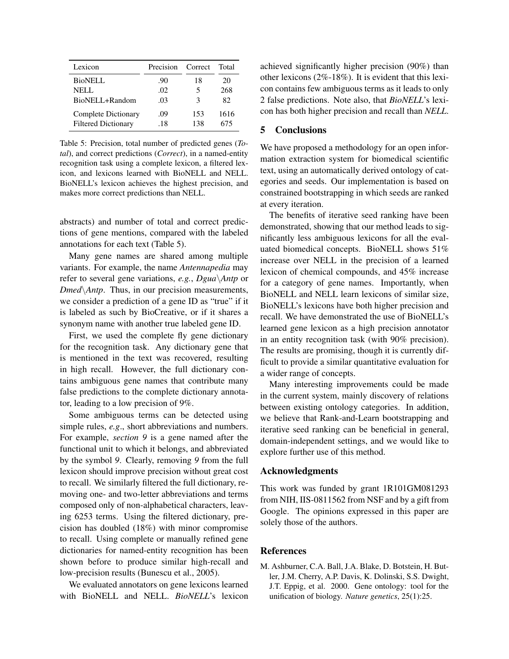| Lexicon                    | Precision | Correct | Total |
|----------------------------|-----------|---------|-------|
| <b>BioNELL</b>             | .90       | 18      | 20    |
| NELL.                      | .02       | 5       | 268   |
| BioNELL+Random             | .03       | 3       | 82.   |
| Complete Dictionary        | .09       | 153     | 1616  |
| <b>Filtered Dictionary</b> | .18       | 138     | 675   |

Table 5: Precision, total number of predicted genes (*Total*), and correct predictions (*Correct*), in a named-entity recognition task using a complete lexicon, a filtered lexicon, and lexicons learned with BioNELL and NELL. BioNELL's lexicon achieves the highest precision, and makes more correct predictions than NELL.

abstracts) and number of total and correct predictions of gene mentions, compared with the labeled annotations for each text (Table 5).

Many gene names are shared among multiple variants. For example, the name *Antennapedia* may refer to several gene variations, *e.g.*, *Dgua*\*Antp* or *Dmed*\*Antp*. Thus, in our precision measurements, we consider a prediction of a gene ID as "true" if it is labeled as such by BioCreative, or if it shares a synonym name with another true labeled gene ID.

First, we used the complete fly gene dictionary for the recognition task. Any dictionary gene that is mentioned in the text was recovered, resulting in high recall. However, the full dictionary contains ambiguous gene names that contribute many false predictions to the complete dictionary annotator, leading to a low precision of 9%.

Some ambiguous terms can be detected using simple rules, *e.g*., short abbreviations and numbers. For example, *section 9* is a gene named after the functional unit to which it belongs, and abbreviated by the symbol *9*. Clearly, removing *9* from the full lexicon should improve precision without great cost to recall. We similarly filtered the full dictionary, removing one- and two-letter abbreviations and terms composed only of non-alphabetical characters, leaving 6253 terms. Using the filtered dictionary, precision has doubled (18%) with minor compromise to recall. Using complete or manually refined gene dictionaries for named-entity recognition has been shown before to produce similar high-recall and low-precision results (Bunescu et al., 2005).

We evaluated annotators on gene lexicons learned with BioNELL and NELL. *BioNELL*'s lexicon achieved significantly higher precision (90%) than other lexicons (2%-18%). It is evident that this lexicon contains few ambiguous terms as it leads to only 2 false predictions. Note also, that *BioNELL*'s lexicon has both higher precision and recall than *NELL*.

## 5 Conclusions

We have proposed a methodology for an open information extraction system for biomedical scientific text, using an automatically derived ontology of categories and seeds. Our implementation is based on constrained bootstrapping in which seeds are ranked at every iteration.

The benefits of iterative seed ranking have been demonstrated, showing that our method leads to significantly less ambiguous lexicons for all the evaluated biomedical concepts. BioNELL shows 51% increase over NELL in the precision of a learned lexicon of chemical compounds, and 45% increase for a category of gene names. Importantly, when BioNELL and NELL learn lexicons of similar size, BioNELL's lexicons have both higher precision and recall. We have demonstrated the use of BioNELL's learned gene lexicon as a high precision annotator in an entity recognition task (with 90% precision). The results are promising, though it is currently difficult to provide a similar quantitative evaluation for a wider range of concepts.

Many interesting improvements could be made in the current system, mainly discovery of relations between existing ontology categories. In addition, we believe that Rank-and-Learn bootstrapping and iterative seed ranking can be beneficial in general, domain-independent settings, and we would like to explore further use of this method.

## Acknowledgments

This work was funded by grant 1R101GM081293 from NIH, IIS-0811562 from NSF and by a gift from Google. The opinions expressed in this paper are solely those of the authors.

#### References

M. Ashburner, C.A. Ball, J.A. Blake, D. Botstein, H. Butler, J.M. Cherry, A.P. Davis, K. Dolinski, S.S. Dwight, J.T. Eppig, et al. 2000. Gene ontology: tool for the unification of biology. *Nature genetics*, 25(1):25.